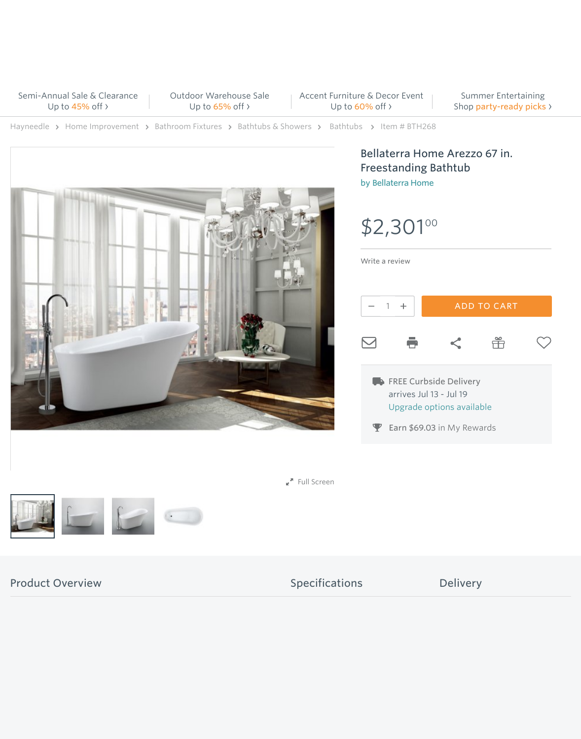Bellaterra Home Arezzo 67 in. Freestanding Bathtub by [Bellaterra Home](https://www.hayneedle.com/brands/bellaterra-home/list)

[Write a review](https://www.hayneedle.com/info/powerreviews_write_review.cfm?pageId=BTH268)



[Outdoor Warehouse Sale](https://www.hayneedle.com/outdoor/outdoor-exclusives-sale_501257) Up to 65% off >

> arrives Jul 13 - Jul 19 Upgrade options available

P Earn \$69.03 in My Rewards

 $\mathbf{r}^{\mathbf{A}}$  Full Screen



Product Overview Specifications Delivery

Summer Entertaining Shop party-ready picks >

[Hayneedle](https://www.hayneedle.com/) > [Home Improvement](https://www.hayneedle.com/home-improvement-and-maintenance/) > [Bathroom Fixtures](https://www.hayneedle.com/home-improvement-and-maintenance/bathroom-fixtures_187223) > [Bathtubs & Showers](https://www.hayneedle.com/home-improvement-and-maintenance/bathtubs-&-showers_187251) > [Bathtubs](https://www.hayneedle.com/home-improvement-and-maintenance/bathtubs_list_187252) > Item # BTH268



[Semi-Annual Sale & Clearance](https://www.hayneedle.com/on-sale/) Up to 45% off ›

\$2,301 00

[Accent Furniture & Decor Event](https://www.hayneedle.com/furniture/accent-furniture-and-decor-sale_501273) Up to 60% off ›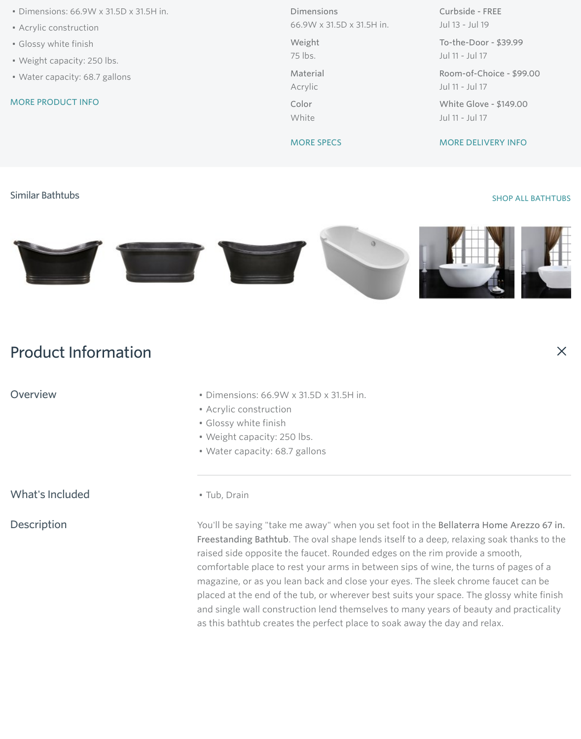### [SHOP ALL BATHTUBS](https://www.hayneedle.com/home-improvement-and-maintenance/bathtubs_187252)

 $\times$ 



- Dimensions: 66.9W x 31.5D x 31.5H in.
- Acrylic construction
- Glossy white finish
- Weight capacity: 250 lbs.
- Water capacity: 68.7 gallons

MORE PRODUCT INFO

Dimensions 66.9W x 31.5D x 31.5H in.

Weight 75 lbs. Material Acrylic

Color White

MORE SPECS

Curbside - FREE Jul 13 - Jul 19

- Overview  **Dimensions: 66.9W x 31.5D x 31.5H in.** 
	- Acrylic construction
	- Glossy white finish
	- Weight capacity: 250 lbs.
	- Water capacity: 68.7 gallons

What's Included • Tub, Drain

To-the-Door - \$39.99 Jul 11 - Jul 17

Room-of-Choice - \$99.00 Jul 11 - Jul 17

White Glove - \$149.00 Jul 11 - Jul 17

MORE DELIVERY INFO

### Similar Bathtubs

# Product Information

Description **Noull be saying "take me away" when you set foot in the Bellaterra Home Arezzo 67 in.** Freestanding Bathtub. The oval shape lends itself to a deep, relaxing soak thanks to the raised side opposite the faucet. Rounded edges on the rim provide a smooth, comfortable place to rest your arms in between sips of wine, the turns of pages of a magazine, or as you lean back and close your eyes. The sleek chrome faucet can be placed at the end of the tub, or wherever best suits your space. The glossy white finish and single wall construction lend themselves to many years of beauty and practicality as this bathtub creates the perfect place to soak away the day and relax.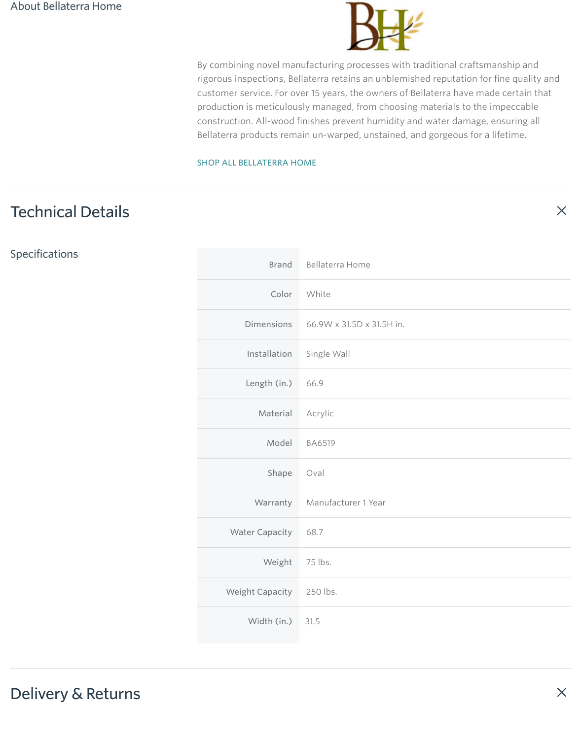# Technical Details

# Delivery & Returns



By combining novel manufacturing processes with traditional craftsmanship and rigorous inspections, Bellaterra retains an unblemished reputation for fine quality and customer service. For over 15 years, the owners of Bellaterra have made certain that production is meticulously managed, from choosing materials to the impeccable construction. All-wood finishes prevent humidity and water damage, ensuring all Bellaterra products remain un-warped, unstained, and gorgeous for a lifetime.

 $\times$ 

 $\times$ 

### [SHOP ALL BELLATERRA HOME](https://www.hayneedle.com/brands/bellaterra-home/list)

Specifications

| <b>Brand</b>        | <b>Bellaterra Home</b>       |
|---------------------|------------------------------|
| Color               | White                        |
| <b>Dimensions</b>   | 66.9W x 31.5D x 31.5H in.    |
| Installation        | Single Wall                  |
| Length $(in.)$ 66.9 |                              |
| Material            | Acrylic                      |
| Model               | <b>BA6519</b>                |
| Shape               | Oval                         |
|                     | Warranty Manufacturer 1 Year |

| <b>Water Capacity</b>  | 68.7      |
|------------------------|-----------|
| Weight                 | $75$ lbs. |
| <b>Weight Capacity</b> | 250 lbs.  |
| Width (in.) 31.5       |           |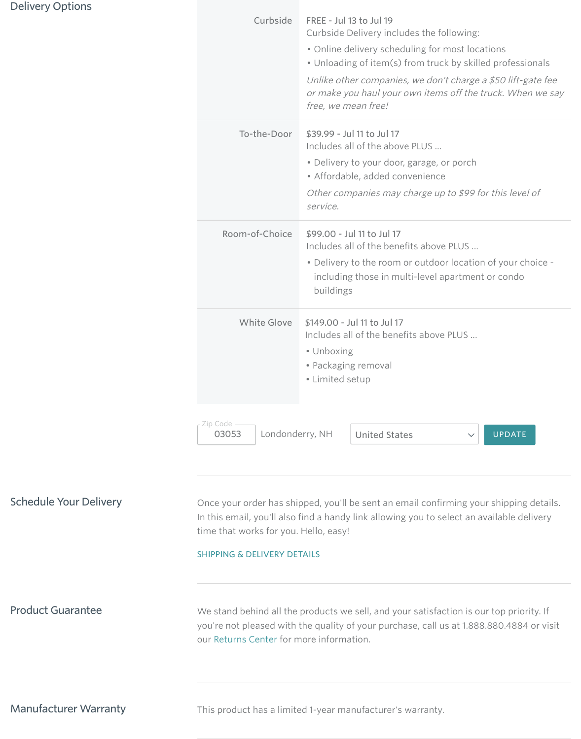## Delivery Options

Schedule Your Delivery **Once your order has shipped, you'll be sent an email confirming your shipping details.** In this email, you'll also find a handy link allowing you to select an available delivery

Product Guarantee We stand behind all the products we sell, and your satisfaction is our top priority. If you're not pleased with the quality of your purchase, call us at 1.888.880.4884 or visit our [Returns Center](http://www.hayneedle.com/returnscenter.cfm) for more information.

Manufacturer Warranty This product has a limited 1-year manufacturer's warranty.

| Curbside                               | <b>FREE - Jul 13 to Jul 19</b><br>Curbside Delivery includes the following:<br>• Online delivery scheduling for most locations<br>• Unloading of item(s) from truck by skilled professionals<br>Unlike other companies, we don't charge a \$50 lift-gate fee<br>or make you haul your own items off the truck. When we say<br>free, we mean free! |
|----------------------------------------|---------------------------------------------------------------------------------------------------------------------------------------------------------------------------------------------------------------------------------------------------------------------------------------------------------------------------------------------------|
| To-the-Door                            | \$39.99 - Jul 11 to Jul 17<br>Includes all of the above PLUS<br>• Delivery to your door, garage, or porch<br>• Affordable, added convenience<br>Other companies may charge up to \$99 for this level of<br>service.                                                                                                                               |
| Room-of-Choice                         | \$99.00 - Jul 11 to Jul 17<br>Includes all of the benefits above PLUS<br>• Delivery to the room or outdoor location of your choice -<br>including those in multi-level apartment or condo<br>buildings                                                                                                                                            |
| <b>White Glove</b>                     | \$149.00 - Jul 11 to Jul 17<br>Includes all of the benefits above PLUS<br>• Unboxing<br>• Packaging removal<br>• Limited setup                                                                                                                                                                                                                    |
| - Zip Code<br>Londonderry, NH<br>03053 | <b>United States</b><br><b>UPDATE</b>                                                                                                                                                                                                                                                                                                             |

time that works for you. Hello, easy!

SHIPPING & DELIVERY DETAILS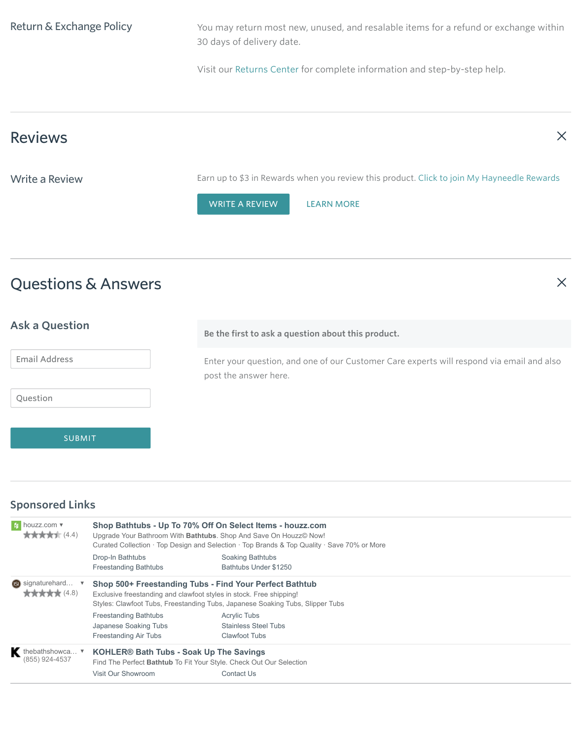# Questions & Answers



| <b>Ask a Question</b> | Be the first to ask a question about this product.                                                                 |
|-----------------------|--------------------------------------------------------------------------------------------------------------------|
| <b>Email Address</b>  | Enter your question, and one of our Customer Care experts will respond via email and also<br>post the answer here. |
| Question              |                                                                                                                    |
| <b>SUBMIT</b>         |                                                                                                                    |

## Sponsored Links

Ą

| Shop Bathtubs - Up To 70% Off On Select Items - houzz.com<br>Upgrade Your Bathroom With Bathtubs. Shop And Save On Houzz© Now!<br>Curated Collection · Top Design and Selection · Top Brands & Top Quality · Save 70% or More |                                                    |                                                                                                                                                                                                                                                                                                                                                                  |
|-------------------------------------------------------------------------------------------------------------------------------------------------------------------------------------------------------------------------------|----------------------------------------------------|------------------------------------------------------------------------------------------------------------------------------------------------------------------------------------------------------------------------------------------------------------------------------------------------------------------------------------------------------------------|
| Drop-In Bathtubs<br><b>Freestanding Bathtubs</b>                                                                                                                                                                              | <b>Soaking Bathtubs</b><br>Bathtubs Under \$1250   |                                                                                                                                                                                                                                                                                                                                                                  |
|                                                                                                                                                                                                                               |                                                    |                                                                                                                                                                                                                                                                                                                                                                  |
| <b>Freestanding Bathtubs</b><br>Japanese Soaking Tubs                                                                                                                                                                         | <b>Acrylic Tubs</b><br><b>Stainless Steel Tubs</b> |                                                                                                                                                                                                                                                                                                                                                                  |
|                                                                                                                                                                                                                               | <b>Contact Us</b>                                  |                                                                                                                                                                                                                                                                                                                                                                  |
|                                                                                                                                                                                                                               | <b>Freestanding Air Tubs</b><br>Visit Our Showroom | Shop 500+ Freestanding Tubs - Find Your Perfect Bathtub<br>Exclusive freestanding and clawfoot styles in stock. Free shipping!<br>Styles: Clawfoot Tubs, Freestanding Tubs, Japanese Soaking Tubs, Slipper Tubs<br><b>Clawfoot Tubs</b><br><b>KOHLER® Bath Tubs - Soak Up The Savings</b><br>Find The Perfect Bathtub To Fit Your Style. Check Out Our Selection |